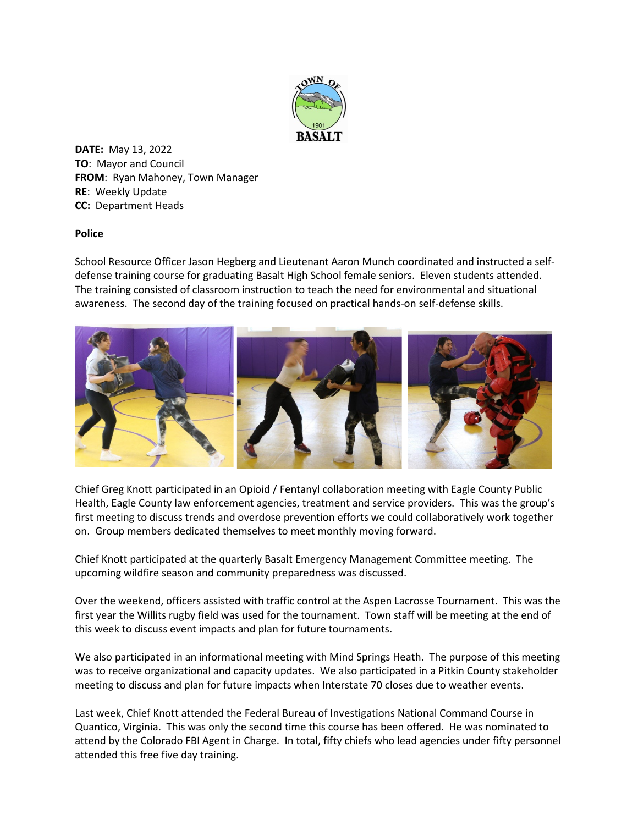

**DATE:** May 13, 2022 **TO**: Mayor and Council **FROM**: Ryan Mahoney, Town Manager **RE**: Weekly Update **CC:** Department Heads

## **Police**

School Resource Officer Jason Hegberg and Lieutenant Aaron Munch coordinated and instructed a selfdefense training course for graduating Basalt High School female seniors. Eleven students attended. The training consisted of classroom instruction to teach the need for environmental and situational awareness. The second day of the training focused on practical hands-on self-defense skills.



Chief Greg Knott participated in an Opioid / Fentanyl collaboration meeting with Eagle County Public Health, Eagle County law enforcement agencies, treatment and service providers. This was the group's first meeting to discuss trends and overdose prevention efforts we could collaboratively work together on. Group members dedicated themselves to meet monthly moving forward.

Chief Knott participated at the quarterly Basalt Emergency Management Committee meeting. The upcoming wildfire season and community preparedness was discussed.

Over the weekend, officers assisted with traffic control at the Aspen Lacrosse Tournament. This was the first year the Willits rugby field was used for the tournament. Town staff will be meeting at the end of this week to discuss event impacts and plan for future tournaments.

We also participated in an informational meeting with Mind Springs Heath. The purpose of this meeting was to receive organizational and capacity updates. We also participated in a Pitkin County stakeholder meeting to discuss and plan for future impacts when Interstate 70 closes due to weather events.

Last week, Chief Knott attended the Federal Bureau of Investigations National Command Course in Quantico, Virginia. This was only the second time this course has been offered. He was nominated to attend by the Colorado FBI Agent in Charge. In total, fifty chiefs who lead agencies under fifty personnel attended this free five day training.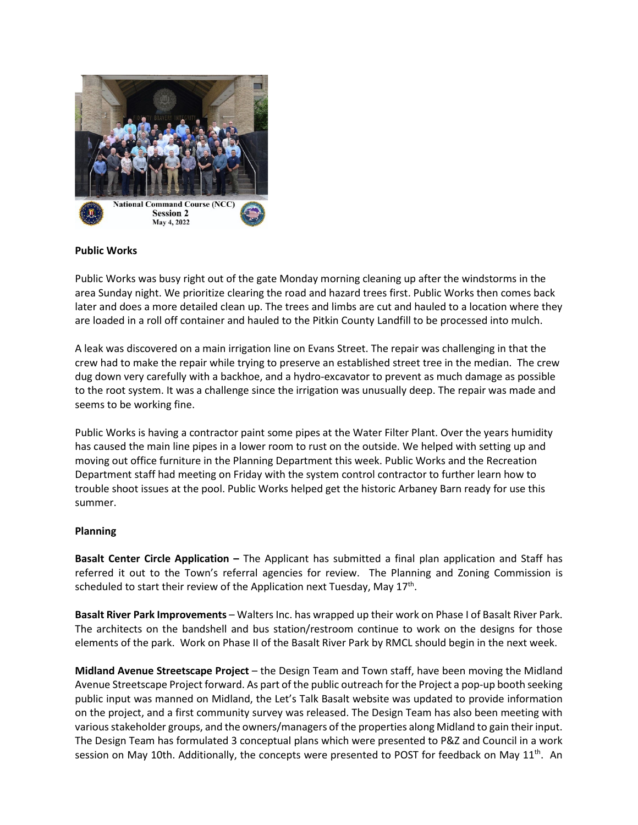

## **Public Works**

Public Works was busy right out of the gate Monday morning cleaning up after the windstorms in the area Sunday night. We prioritize clearing the road and hazard trees first. Public Works then comes back later and does a more detailed clean up. The trees and limbs are cut and hauled to a location where they are loaded in a roll off container and hauled to the Pitkin County Landfill to be processed into mulch.

A leak was discovered on a main irrigation line on Evans Street. The repair was challenging in that the crew had to make the repair while trying to preserve an established street tree in the median. The crew dug down very carefully with a backhoe, and a hydro-excavator to prevent as much damage as possible to the root system. It was a challenge since the irrigation was unusually deep. The repair was made and seems to be working fine.

Public Works is having a contractor paint some pipes at the Water Filter Plant. Over the years humidity has caused the main line pipes in a lower room to rust on the outside. We helped with setting up and moving out office furniture in the Planning Department this week. Public Works and the Recreation Department staff had meeting on Friday with the system control contractor to further learn how to trouble shoot issues at the pool. Public Works helped get the historic Arbaney Barn ready for use this summer.

## **Planning**

**Basalt Center Circle Application –** The Applicant has submitted a final plan application and Staff has referred it out to the Town's referral agencies for review. The Planning and Zoning Commission is scheduled to start their review of the Application next Tuesday, May  $17<sup>th</sup>$ .

**Basalt River Park Improvements** – Walters Inc. has wrapped up their work on Phase I of Basalt River Park. The architects on the bandshell and bus station/restroom continue to work on the designs for those elements of the park. Work on Phase II of the Basalt River Park by RMCL should begin in the next week.

**Midland Avenue Streetscape Project** – the Design Team and Town staff, have been moving the Midland Avenue Streetscape Project forward. As part of the public outreach for the Project a pop-up booth seeking public input was manned on Midland, the Let's Talk Basalt website was updated to provide information on the project, and a first community survey was released. The Design Team has also been meeting with various stakeholder groups, and the owners/managers of the properties along Midland to gain their input. The Design Team has formulated 3 conceptual plans which were presented to P&Z and Council in a work session on May 10th. Additionally, the concepts were presented to POST for feedback on May 11<sup>th</sup>. An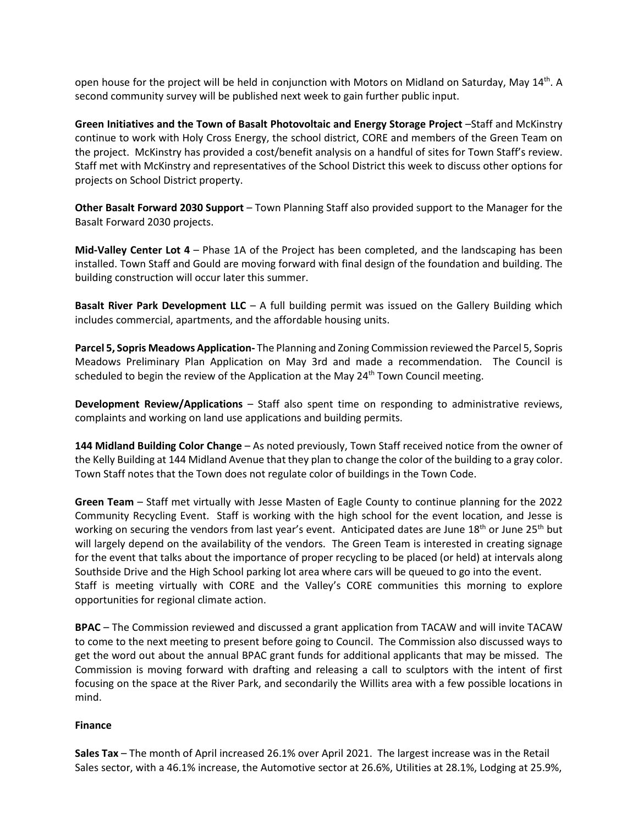open house for the project will be held in conjunction with Motors on Midland on Saturday, May 14th. A second community survey will be published next week to gain further public input.

**Green Initiatives and the Town of Basalt Photovoltaic and Energy Storage Project** –Staff and McKinstry continue to work with Holy Cross Energy, the school district, CORE and members of the Green Team on the project. McKinstry has provided a cost/benefit analysis on a handful of sites for Town Staff's review. Staff met with McKinstry and representatives of the School District this week to discuss other options for projects on School District property.

**Other Basalt Forward 2030 Support** – Town Planning Staff also provided support to the Manager for the Basalt Forward 2030 projects.

**Mid-Valley Center Lot 4** – Phase 1A of the Project has been completed, and the landscaping has been installed. Town Staff and Gould are moving forward with final design of the foundation and building. The building construction will occur later this summer.

**Basalt River Park Development LLC** – A full building permit was issued on the Gallery Building which includes commercial, apartments, and the affordable housing units.

**Parcel 5, Sopris Meadows Application-** The Planning and Zoning Commission reviewed the Parcel 5, Sopris Meadows Preliminary Plan Application on May 3rd and made a recommendation. The Council is scheduled to begin the review of the Application at the May  $24<sup>th</sup>$  Town Council meeting.

**Development Review/Applications** – Staff also spent time on responding to administrative reviews, complaints and working on land use applications and building permits.

**144 Midland Building Color Change** – As noted previously, Town Staff received notice from the owner of the Kelly Building at 144 Midland Avenue that they plan to change the color of the building to a gray color. Town Staff notes that the Town does not regulate color of buildings in the Town Code.

**Green Team** – Staff met virtually with Jesse Masten of Eagle County to continue planning for the 2022 Community Recycling Event. Staff is working with the high school for the event location, and Jesse is working on securing the vendors from last year's event. Anticipated dates are June  $18<sup>th</sup>$  or June  $25<sup>th</sup>$  but will largely depend on the availability of the vendors. The Green Team is interested in creating signage for the event that talks about the importance of proper recycling to be placed (or held) at intervals along Southside Drive and the High School parking lot area where cars will be queued to go into the event. Staff is meeting virtually with CORE and the Valley's CORE communities this morning to explore opportunities for regional climate action.

**BPAC** – The Commission reviewed and discussed a grant application from TACAW and will invite TACAW to come to the next meeting to present before going to Council. The Commission also discussed ways to get the word out about the annual BPAC grant funds for additional applicants that may be missed. The Commission is moving forward with drafting and releasing a call to sculptors with the intent of first focusing on the space at the River Park, and secondarily the Willits area with a few possible locations in mind.

## **Finance**

**Sales Tax** – The month of April increased 26.1% over April 2021. The largest increase was in the Retail Sales sector, with a 46.1% increase, the Automotive sector at 26.6%, Utilities at 28.1%, Lodging at 25.9%,